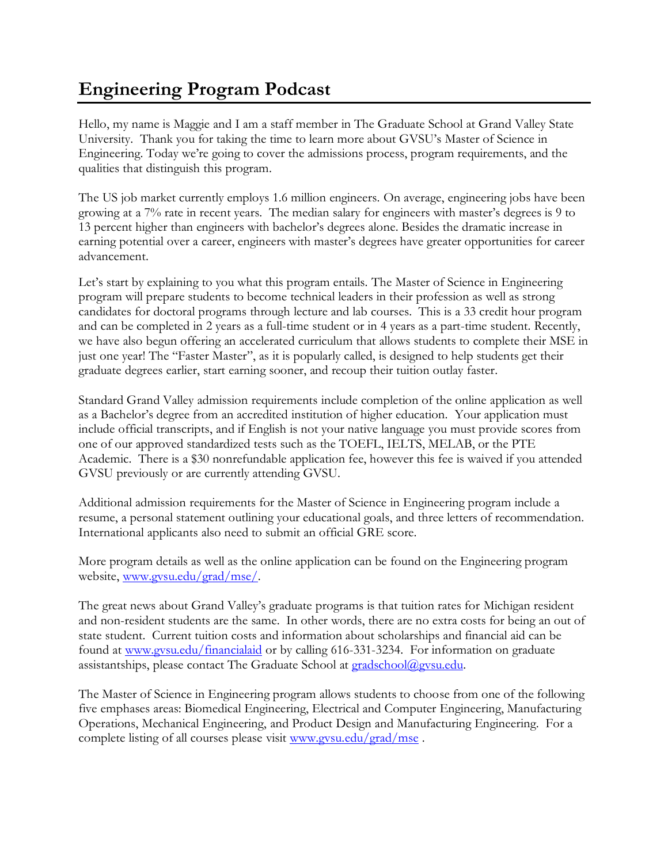## **Engineering Program Podcast**

Hello, my name is Maggie and I am a staff member in The Graduate School at Grand Valley State University. Thank you for taking the time to learn more about GVSU's Master of Science in Engineering. Today we're going to cover the admissions process, program requirements, and the qualities that distinguish this program.

The US job market currently employs 1.6 million engineers. On average, engineering jobs have been growing at a 7% rate in recent years. The median salary for engineers with master's degrees is 9 to 13 percent higher than engineers with bachelor's degrees alone. Besides the dramatic increase in earning potential over a career, engineers with master's degrees have greater opportunities for career advancement.

Let's start by explaining to you what this program entails. The Master of Science in Engineering program will prepare students to become technical leaders in their profession as well as strong candidates for doctoral programs through lecture and lab courses. This is a 33 credit hour program and can be completed in 2 years as a full-time student or in 4 years as a part-time student. Recently, we have also begun offering an accelerated curriculum that allows students to complete their MSE in just one year! The "Faster Master", as it is popularly called, is designed to help students get their graduate degrees earlier, start earning sooner, and recoup their tuition outlay faster.

Standard Grand Valley admission requirements include completion of the online application as well as a Bachelor's degree from an accredited institution of higher education. Your application must include official transcripts, and if English is not your native language you must provide scores from one of our approved standardized tests such as the TOEFL, IELTS, MELAB, or the PTE Academic. There is a \$30 nonrefundable application fee, however this fee is waived if you attended GVSU previously or are currently attending GVSU.

Additional admission requirements for the Master of Science in Engineering program include a resume, a personal statement outlining your educational goals, and three letters of recommendation. International applicants also need to submit an official GRE score.

More program details as well as the online application can be found on the Engineering program website, [www.gvsu.edu/grad/mse/.](http://www.gvsu.edu/grad/mse/)

The great news about Grand Valley's graduate programs is that tuition rates for Michigan resident and non-resident students are the same. In other words, there are no extra costs for being an out of state student. Current tuition costs and information about scholarships and financial aid can be found at [www.gvsu.edu/financialaid](http://www.gvsu.edu/financialaid) or by calling 616-331-3234. For information on graduate assistantships, please contact The Graduate School at [gradschool@gvsu.edu.](mailto:gradschool@gvsu.edu)

The Master of Science in Engineering program allows students to choose from one of the following five emphases areas: Biomedical Engineering, Electrical and Computer Engineering, Manufacturing Operations, Mechanical Engineering, and Product Design and Manufacturing Engineering. For a complete listing of all courses please visit [www.gvsu.edu/grad/mse](http://www.gvsu.edu/grad/mse) .